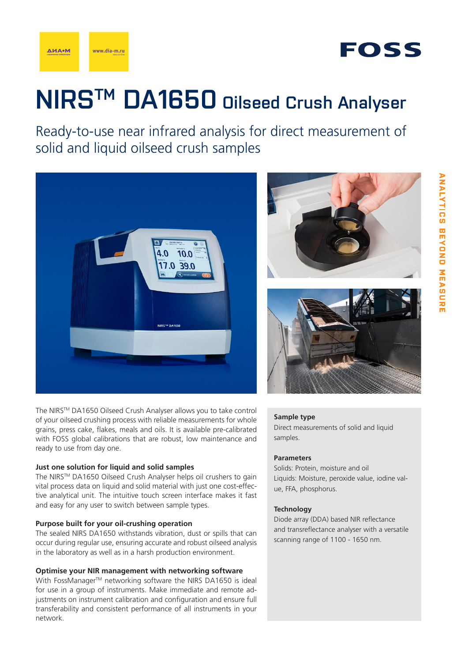

# **NIRSTM DA1650 Oilseed Crush Analyser**

Ready-to-use near infrared analysis for direct measurement of solid and liquid oilseed crush samples



The NIRSTM DA1650 Oilseed Crush Analyser allows you to take control of your oilseed crushing process with reliable measurements for whole grains, press cake, flakes, meals and oils. It is available pre-calibrated with FOSS global calibrations that are robust, low maintenance and ready to use from day one.

#### **Just one solution for liquid and solid samples**

The NIRSTM DA1650 Oilseed Crush Analyser helps oil crushers to gain vital process data on liquid and solid material with just one cost-effective analytical unit. The intuitive touch screen interface makes it fast and easy for any user to switch between sample types.

#### **Purpose built for your oil-crushing operation**

The sealed NIRS DA1650 withstands vibration, dust or spills that can occur during regular use, ensuring accurate and robust oilseed analysis in the laboratory as well as in a harsh production environment.

### **Optimise your NIR management with networking software**

With FossManager™ networking software the NIRS DA1650 is ideal for use in a group of instruments. Make immediate and remote adjustments on instrument calibration and configuration and ensure full transferability and consistent performance of all instruments in your network.





#### **Sample type**

Direct measurements of solid and liquid samples.

#### **Parameters**

Solids: Protein, moisture and oil Liquids: Moisture, peroxide value, iodine value, FFA, phosphorus.

#### **Technology**

Diode array (DDA) based NIR reflectance and transreflectance analyser with a versatile scanning range of 1100 - 1650 nm.